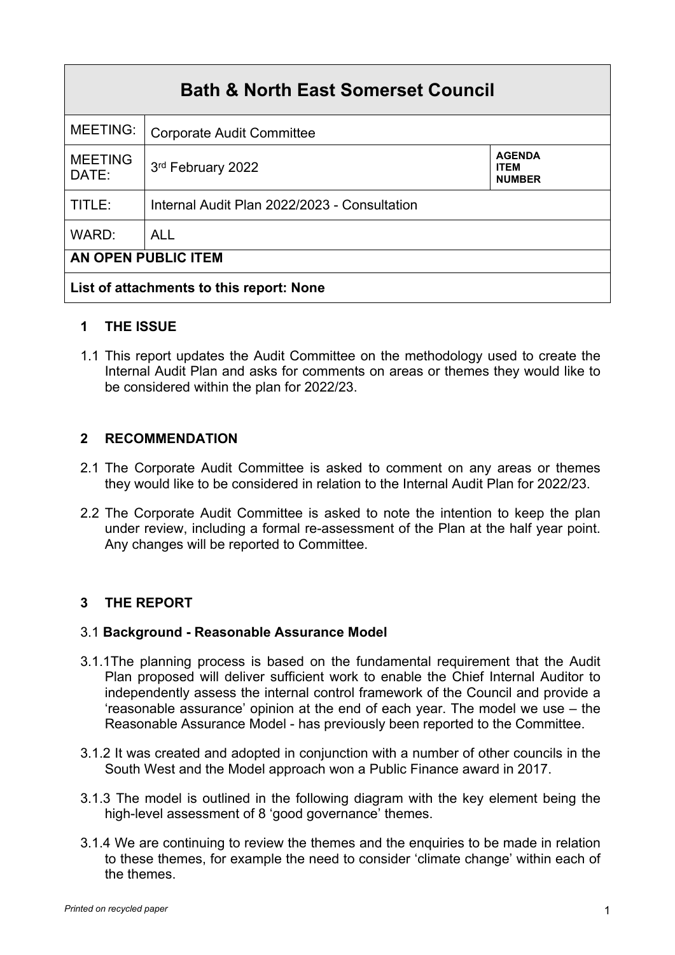| <b>Bath &amp; North East Somerset Council</b> |                                              |                                               |  |
|-----------------------------------------------|----------------------------------------------|-----------------------------------------------|--|
| <b>MEETING:</b>                               | <b>Corporate Audit Committee</b>             |                                               |  |
| <b>MEETING</b><br>DATE:                       | 3rd February 2022                            | <b>AGENDA</b><br><b>ITEM</b><br><b>NUMBER</b> |  |
| TITLE:                                        | Internal Audit Plan 2022/2023 - Consultation |                                               |  |
| WARD:                                         | <b>ALL</b>                                   |                                               |  |
| AN OPEN PUBLIC ITEM                           |                                              |                                               |  |
| List of attachments to this report: None      |                                              |                                               |  |

## **1 THE ISSUE**

1.1 This report updates the Audit Committee on the methodology used to create the Internal Audit Plan and asks for comments on areas or themes they would like to be considered within the plan for 2022/23.

### **2 RECOMMENDATION**

- 2.1 The Corporate Audit Committee is asked to comment on any areas or themes they would like to be considered in relation to the Internal Audit Plan for 2022/23.
- 2.2 The Corporate Audit Committee is asked to note the intention to keep the plan under review, including a formal re-assessment of the Plan at the half year point. Any changes will be reported to Committee.

## **3 THE REPORT**

### 3.1 **Background - Reasonable Assurance Model**

- 3.1.1The planning process is based on the fundamental requirement that the Audit Plan proposed will deliver sufficient work to enable the Chief Internal Auditor to independently assess the internal control framework of the Council and provide a 'reasonable assurance' opinion at the end of each year. The model we use – the Reasonable Assurance Model - has previously been reported to the Committee.
- 3.1.2 It was created and adopted in conjunction with a number of other councils in the South West and the Model approach won a Public Finance award in 2017.
- 3.1.3 The model is outlined in the following diagram with the key element being the high-level assessment of 8 'good governance' themes.
- 3.1.4 We are continuing to review the themes and the enquiries to be made in relation to these themes, for example the need to consider 'climate change' within each of the themes.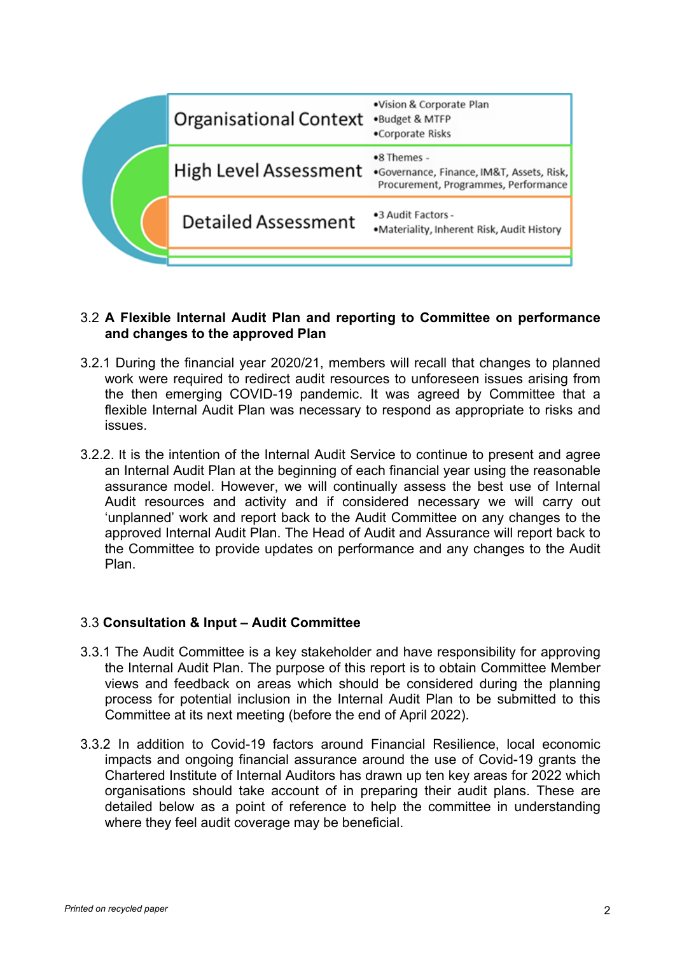

#### 3.2 **A Flexible Internal Audit Plan and reporting to Committee on performance and changes to the approved Plan**

- 3.2.1 During the financial year 2020/21, members will recall that changes to planned work were required to redirect audit resources to unforeseen issues arising from the then emerging COVID-19 pandemic. It was agreed by Committee that a flexible Internal Audit Plan was necessary to respond as appropriate to risks and issues.
- 3.2.2. It is the intention of the Internal Audit Service to continue to present and agree an Internal Audit Plan at the beginning of each financial year using the reasonable assurance model. However, we will continually assess the best use of Internal Audit resources and activity and if considered necessary we will carry out 'unplanned' work and report back to the Audit Committee on any changes to the approved Internal Audit Plan. The Head of Audit and Assurance will report back to the Committee to provide updates on performance and any changes to the Audit Plan.

### 3.3 **Consultation & Input – Audit Committee**

- 3.3.1 The Audit Committee is a key stakeholder and have responsibility for approving the Internal Audit Plan. The purpose of this report is to obtain Committee Member views and feedback on areas which should be considered during the planning process for potential inclusion in the Internal Audit Plan to be submitted to this Committee at its next meeting (before the end of April 2022).
- 3.3.2 In addition to Covid-19 factors around Financial Resilience, local economic impacts and ongoing financial assurance around the use of Covid-19 grants the Chartered Institute of Internal Auditors has drawn up ten key areas for 2022 which organisations should take account of in preparing their audit plans. These are detailed below as a point of reference to help the committee in understanding where they feel audit coverage may be beneficial.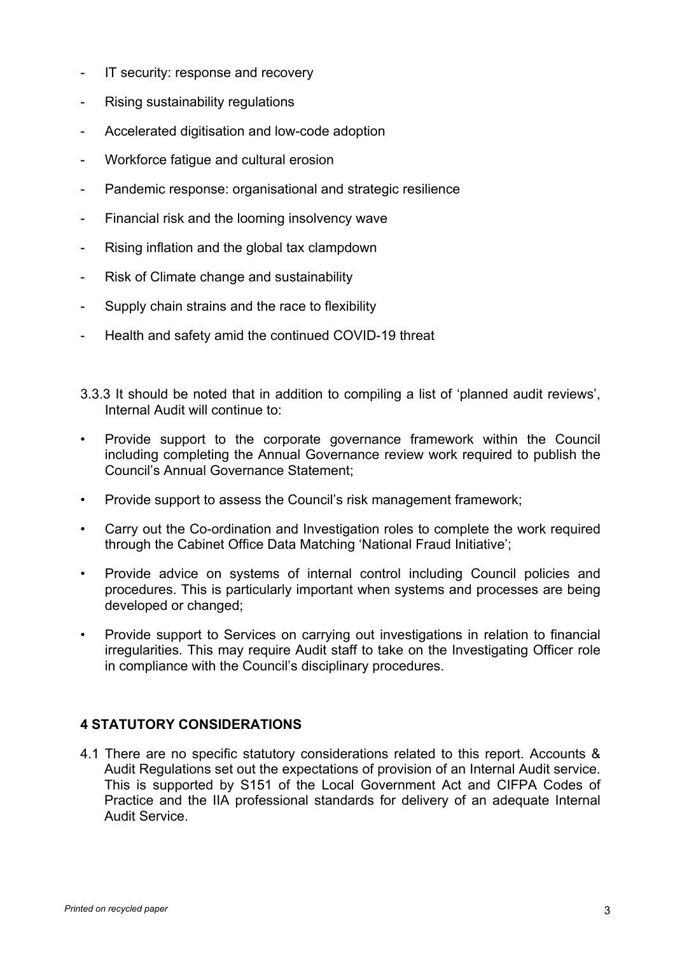- IT security: response and recovery
- Rising sustainability regulations
- Accelerated digitisation and low-code adoption
- Workforce fatigue and cultural erosion
- Pandemic response: organisational and strategic resilience
- Financial risk and the looming insolvency wave
- Rising inflation and the global tax clampdown
- Risk of Climate change and sustainability
- Supply chain strains and the race to flexibility
- Health and safety amid the continued COVID-19 threat
- 3.3.3 It should be noted that in addition to compiling a list of 'planned audit reviews', Internal Audit will continue to:
- Provide support to the corporate governance framework within the Council including completing the Annual Governance review work required to publish the Council's Annual Governance Statement;
- Provide support to assess the Council's risk management framework;
- Carry out the Co-ordination and Investigation roles to complete the work required through the Cabinet Office Data Matching 'National Fraud Initiative';
- Provide advice on systems of internal control including Council policies and procedures. This is particularly important when systems and processes are being developed or changed;
- Provide support to Services on carrying out investigations in relation to financial irregularities. This may require Audit staff to take on the Investigating Officer role in compliance with the Council's disciplinary procedures.

## **4 STATUTORY CONSIDERATIONS**

4.1 There are no specific statutory considerations related to this report. Accounts & Audit Regulations set out the expectations of provision of an Internal Audit service. This is supported by S151 of the Local Government Act and CIFPA Codes of Practice and the IIA professional standards for delivery of an adequate Internal Audit Service.